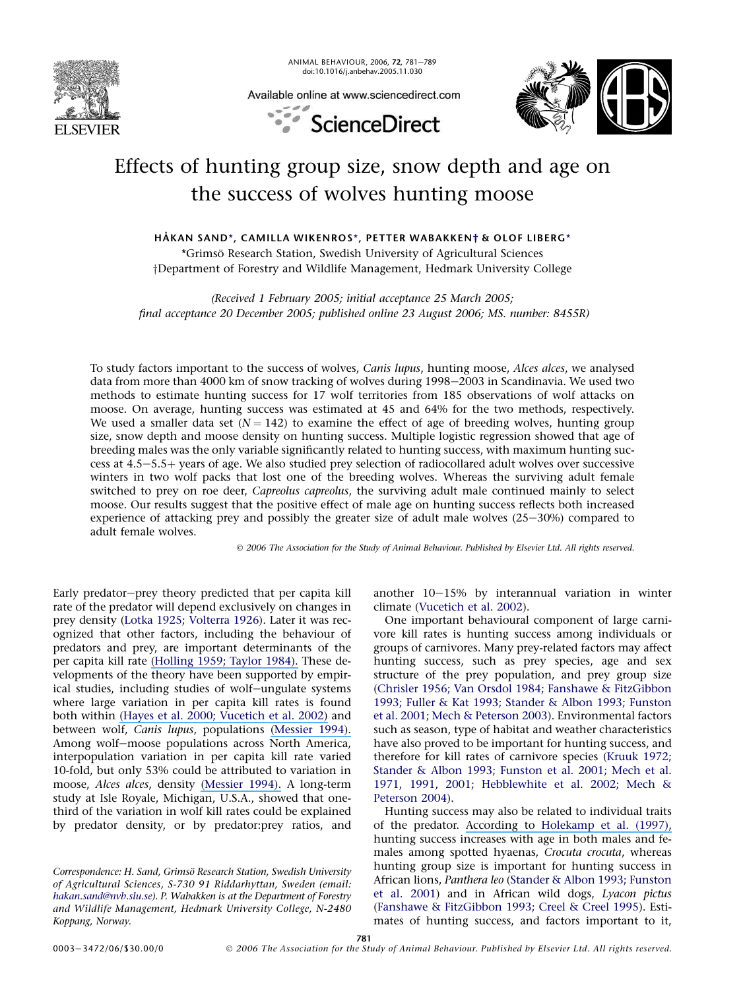

ANIMAL BEHAVIOUR, 2006, 72, 781-789 doi:10.1016/j.anbehav.2005.11.030







# Effects of hunting group size, snow depth and age on the success of wolves hunting moose

HÅKAN SAND\*, CAMILLA WIKENROS\*, PETTER WABAKKEN† & OLOF LIBERG\*

\*Grimsö Research Station, Swedish University of Agricultural Sciences <sup>†</sup>Department of Forestry and Wildlife Management, Hedmark University College

(Received 1 February 2005; initial acceptance 25 March 2005; final acceptance 20 December 2005; published online 23 August 2006; MS. number: 8455R)

To study factors important to the success of wolves, Canis lupus, hunting moose, Alces alces, we analysed data from more than 4000 km of snow tracking of wolves during 1998–2003 in Scandinavia. We used two methods to estimate hunting success for 17 wolf territories from 185 observations of wolf attacks on moose. On average, hunting success was estimated at 45 and 64% for the two methods, respectively. We used a smaller data set  $(N = 142)$  to examine the effect of age of breeding wolves, hunting group size, snow depth and moose density on hunting success. Multiple logistic regression showed that age of breeding males was the only variable significantly related to hunting success, with maximum hunting success at 4.5–5.5+ years of age. We also studied prey selection of radiocollared adult wolves over successive winters in two wolf packs that lost one of the breeding wolves. Whereas the surviving adult female switched to prey on roe deer, Capreolus capreolus, the surviving adult male continued mainly to select moose. Our results suggest that the positive effect of male age on hunting success reflects both increased experience of attacking prey and possibly the greater size of adult male wolves  $(25-30%)$  compared to adult female wolves.

2006 The Association for the Study of Animal Behaviour. Published by Elsevier Ltd. All rights reserved.

Early predator-prey theory predicted that per capita kill rate of the predator will depend exclusively on changes in prey density (Lotka 1925; Volterra 1926). Later it was recognized that other factors, including the behaviour of predators and prey, are important determinants of the per capita kill rate [\(Holling 1959; Taylor 1984\).](https://www.researchgate.net/publication/230693484_iThe_Odonata_of_Canada_and_Alaska_Volume_Two_by_Edmund_M_Walker_Professor_Emeritus_of_Zoology_University_of_Toronto_Honorary_Curator_of_Zoology_Royal_Ontario_Museum_of_Zoology_and_Palaeontology_xi_318?el=1_x_8&enrichId=rgreq-3fc1200e-6a66-419e-9f4e-d477d3c162bc&enrichSource=Y292ZXJQYWdlOzIyMzg2Njc0NDtBUzoxMDI3MzE1NjYwMjY3NTVAMTQwMTUwNDUyMzQ3MA==) These developments of the theory have been supported by empirical studies, including studies of wolf-ungulate systems where large variation in per capita kill rates is found both within [\(Hayes et al. 2000; Vucetich et al. 2002\)](https://www.researchgate.net/publication/229193102_Kill_rates_by_wolves_on_moose_in_Yukon?el=1_x_8&enrichId=rgreq-3fc1200e-6a66-419e-9f4e-d477d3c162bc&enrichSource=Y292ZXJQYWdlOzIyMzg2Njc0NDtBUzoxMDI3MzE1NjYwMjY3NTVAMTQwMTUwNDUyMzQ3MA==) and between wolf, Canis lupus, populations [\(Messier 1994\).](https://www.researchgate.net/publication/229196343_Ungulate_Population_Models_with_Predation_A_Case_Study_with_the_North_American_Moose?el=1_x_8&enrichId=rgreq-3fc1200e-6a66-419e-9f4e-d477d3c162bc&enrichSource=Y292ZXJQYWdlOzIyMzg2Njc0NDtBUzoxMDI3MzE1NjYwMjY3NTVAMTQwMTUwNDUyMzQ3MA==) Among wolf-moose populations across North America, interpopulation variation in per capita kill rate varied 10-fold, but only 53% could be attributed to variation in moose, Alces alces, density [\(Messier 1994\).](https://www.researchgate.net/publication/229196343_Ungulate_Population_Models_with_Predation_A_Case_Study_with_the_North_American_Moose?el=1_x_8&enrichId=rgreq-3fc1200e-6a66-419e-9f4e-d477d3c162bc&enrichSource=Y292ZXJQYWdlOzIyMzg2Njc0NDtBUzoxMDI3MzE1NjYwMjY3NTVAMTQwMTUwNDUyMzQ3MA==) A long-term study at Isle Royale, Michigan, U.S.A., showed that onethird of the variation in wolf kill rates could be explained by predator density, or by predator:prey ratios, and

Correspondence: H. Sand, Grimsö Research Station, Swedish University of Agricultural Sciences, S-730 91 Riddarhyttan, Sweden (email: [hakan.sand@nvb.slu.se](mailto:hakan.sand@nvb.slu.se)). P. Wabakken is at the Department of Forestry and Wildlife Management, Hedmark University College, N-2480 Koppang, Norway.

another  $10-15%$  by interannual variation in winter climate (Vucetich et al. 2002).

One important behavioural component of large carnivore kill rates is hunting success among individuals or groups of carnivores. Many prey-related factors may affect hunting success, such as prey species, age and sex structure of the prey population, and prey group size (Chrisler 1956; Van Orsdol 1984; Fanshawe & FitzGibbon 1993; Fuller & Kat 1993; Stander & Albon 1993; Funston et al. 2001; Mech & Peterson 2003). Environmental factors such as season, type of habitat and weather characteristics have also proved to be important for hunting success, and therefore for kill rates of carnivore species (Kruuk 1972; Stander & Albon 1993; Funston et al. 2001; Mech et al. 1971, 1991, 2001; Hebblewhite et al. 2002; Mech & Peterson 2004).

Hunting success may also be related to individual traits of the predator. According to [Holekamp et al. \(1997\),](https://www.researchgate.net/publication/229646636_Hunting_rates_and_hunting_success_in_the_spotted_hyena_Crocuta_crocuta_J_Zool_Lond?el=1_x_8&enrichId=rgreq-3fc1200e-6a66-419e-9f4e-d477d3c162bc&enrichSource=Y292ZXJQYWdlOzIyMzg2Njc0NDtBUzoxMDI3MzE1NjYwMjY3NTVAMTQwMTUwNDUyMzQ3MA==) hunting success increases with age in both males and females among spotted hyaenas, Crocuta crocuta, whereas hunting group size is important for hunting success in African lions, Panthera leo (Stander & Albon 1993; Funston et al. 2001) and in African wild dogs, Lyacon pictus (Fanshawe & FitzGibbon 1993; Creel & Creel 1995). Estimates of hunting success, and factors important to it,

781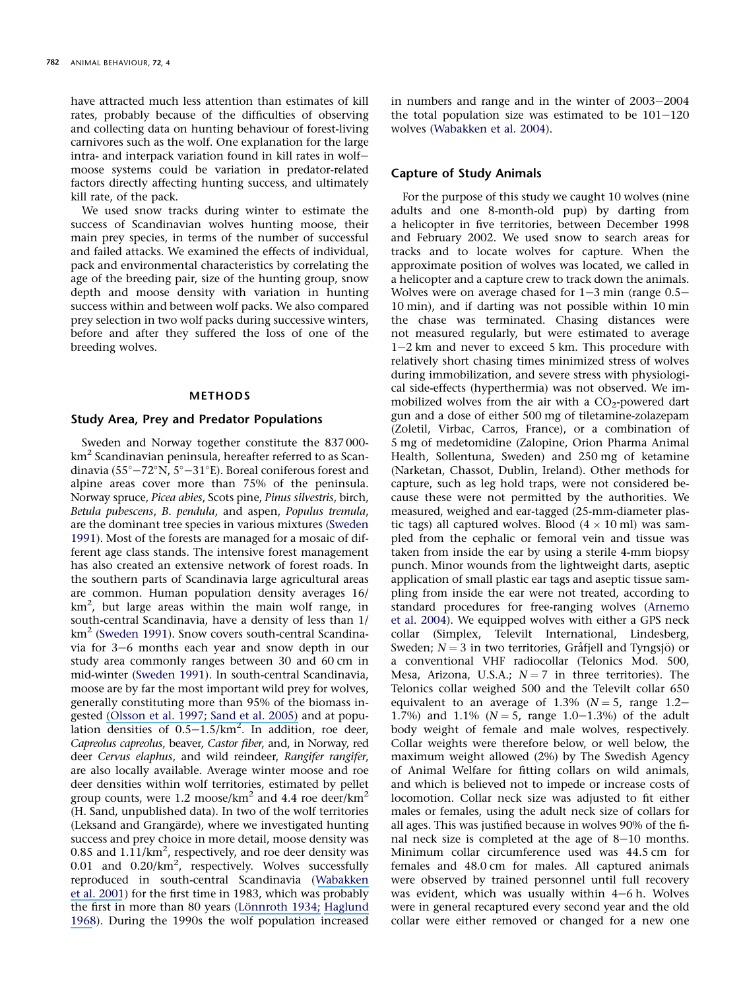have attracted much less attention than estimates of kill rates, probably because of the difficulties of observing and collecting data on hunting behaviour of forest-living carnivores such as the wolf. One explanation for the large intra- and interpack variation found in kill rates in wolfmoose systems could be variation in predator-related factors directly affecting hunting success, and ultimately kill rate, of the pack.

We used snow tracks during winter to estimate the success of Scandinavian wolves hunting moose, their main prey species, in terms of the number of successful and failed attacks. We examined the effects of individual, pack and environmental characteristics by correlating the age of the breeding pair, size of the hunting group, snow depth and moose density with variation in hunting success within and between wolf packs. We also compared prey selection in two wolf packs during successive winters, before and after they suffered the loss of one of the breeding wolves.

#### METHODS

# Study Area, Prey and Predator Populations

Sweden and Norway together constitute the 837 000 km<sup>2</sup> Scandinavian peninsula, hereafter referred to as Scandinavia ( $55^{\circ} - 72^{\circ}$ N,  $5^{\circ} - 31^{\circ}$ E). Boreal coniferous forest and alpine areas cover more than 75% of the peninsula. Norway spruce, Picea abies, Scots pine, Pinus silvestris, birch, Betula pubescens, B. pendula, and aspen, Populus tremula, are the dominant tree species in various mixtures (Sweden 1991). Most of the forests are managed for a mosaic of different age class stands. The intensive forest management has also created an extensive network of forest roads. In the southern parts of Scandinavia large agricultural areas are common. Human population density averages 16/ km<sup>2</sup> , but large areas within the main wolf range, in south-central Scandinavia, have a density of less than 1/ km<sup>2</sup> (Sweden 1991). Snow covers south-central Scandinavia for 3–6 months each year and snow depth in our study area commonly ranges between 30 and 60 cm in mid-winter (Sweden 1991). In south-central Scandinavia, moose are by far the most important wild prey for wolves, generally constituting more than 95% of the biomass ingested [\(Olsson et al. 1997; Sand et al. 2005\)](https://www.researchgate.net/publication/232690033_Using_GPS_technology_and_GIS_cluster_analyses_to_estimate_kill_rates_in_wolf-ungulate_ecosystems?el=1_x_8&enrichId=rgreq-3fc1200e-6a66-419e-9f4e-d477d3c162bc&enrichSource=Y292ZXJQYWdlOzIyMzg2Njc0NDtBUzoxMDI3MzE1NjYwMjY3NTVAMTQwMTUwNDUyMzQ3MA==) and at population densities of  $0.5-1.5/km^2$ . In addition, roe deer, Capreolus capreolus, beaver, Castor fiber, and, in Norway, red deer Cervus elaphus, and wild reindeer, Rangifer rangifer, are also locally available. Average winter moose and roe deer densities within wolf territories, estimated by pellet group counts, were 1.2 moose/ $km^2$  and 4.4 roe deer/ $km^2$ (H. Sand, unpublished data). In two of the wolf territories (Leksand and Grangärde), where we investigated hunting success and prey choice in more detail, moose density was 0.85 and  $1.11/km<sup>2</sup>$ , respectively, and roe deer density was 0.01 and  $0.20/km^2$ , respectively. Wolves successfully reproduced in south-central Scandinavia ([Wabakken](https://www.researchgate.net/publication/249542431_The_recovery_distribution_and_population_dynamics_of_wolves_on_the_Scandinavian_Peninsula?el=1_x_8&enrichId=rgreq-3fc1200e-6a66-419e-9f4e-d477d3c162bc&enrichSource=Y292ZXJQYWdlOzIyMzg2Njc0NDtBUzoxMDI3MzE1NjYwMjY3NTVAMTQwMTUwNDUyMzQ3MA==) [et al. 2001](https://www.researchgate.net/publication/249542431_The_recovery_distribution_and_population_dynamics_of_wolves_on_the_Scandinavian_Peninsula?el=1_x_8&enrichId=rgreq-3fc1200e-6a66-419e-9f4e-d477d3c162bc&enrichSource=Y292ZXJQYWdlOzIyMzg2Njc0NDtBUzoxMDI3MzE1NjYwMjY3NTVAMTQwMTUwNDUyMzQ3MA==)) for the first time in 1983, which was probably the first in more than 80 years (Lönnroth 1934; [Haglund](https://www.researchgate.net/publication/275884652_De_stora_rovdjurens_vintervanor_II?el=1_x_8&enrichId=rgreq-3fc1200e-6a66-419e-9f4e-d477d3c162bc&enrichSource=Y292ZXJQYWdlOzIyMzg2Njc0NDtBUzoxMDI3MzE1NjYwMjY3NTVAMTQwMTUwNDUyMzQ3MA==) [1968](https://www.researchgate.net/publication/275884652_De_stora_rovdjurens_vintervanor_II?el=1_x_8&enrichId=rgreq-3fc1200e-6a66-419e-9f4e-d477d3c162bc&enrichSource=Y292ZXJQYWdlOzIyMzg2Njc0NDtBUzoxMDI3MzE1NjYwMjY3NTVAMTQwMTUwNDUyMzQ3MA==)). During the 1990s the wolf population increased

in numbers and range and in the winter of  $2003-2004$ the total population size was estimated to be  $101-120$ wolves (Wabakken et al. 2004).

# Capture of Study Animals

For the purpose of this study we caught 10 wolves (nine adults and one 8-month-old pup) by darting from a helicopter in five territories, between December 1998 and February 2002. We used snow to search areas for tracks and to locate wolves for capture. When the approximate position of wolves was located, we called in a helicopter and a capture crew to track down the animals. Wolves were on average chased for  $1-3$  min (range  $0.5-$ 10 min), and if darting was not possible within 10 min the chase was terminated. Chasing distances were not measured regularly, but were estimated to average  $1-2$  km and never to exceed 5 km. This procedure with relatively short chasing times minimized stress of wolves during immobilization, and severe stress with physiological side-effects (hyperthermia) was not observed. We immobilized wolves from the air with a  $CO<sub>2</sub>$ -powered dart gun and a dose of either 500 mg of tiletamine-zolazepam (Zoletil, Virbac, Carros, France), or a combination of 5 mg of medetomidine (Zalopine, Orion Pharma Animal Health, Sollentuna, Sweden) and 250 mg of ketamine (Narketan, Chassot, Dublin, Ireland). Other methods for capture, such as leg hold traps, were not considered because these were not permitted by the authorities. We measured, weighed and ear-tagged (25-mm-diameter plastic tags) all captured wolves. Blood  $(4 \times 10 \text{ ml})$  was sampled from the cephalic or femoral vein and tissue was taken from inside the ear by using a sterile 4-mm biopsy punch. Minor wounds from the lightweight darts, aseptic application of small plastic ear tags and aseptic tissue sampling from inside the ear were not treated, according to standard procedures for free-ranging wolves (Arnemo et al. 2004). We equipped wolves with either a GPS neck collar (Simplex, Televilt International, Lindesberg, Sweden;  $N = 3$  in two territories, Gråfjell and Tyngsjö) or a conventional VHF radiocollar (Telonics Mod. 500, Mesa, Arizona, U.S.A.;  $N = 7$  in three territories). The Telonics collar weighed 500 and the Televilt collar 650 equivalent to an average of 1.3% ( $N = 5$ , range 1.2– 1.7%) and 1.1% ( $N = 5$ , range 1.0–1.3%) of the adult body weight of female and male wolves, respectively. Collar weights were therefore below, or well below, the maximum weight allowed (2%) by The Swedish Agency of Animal Welfare for fitting collars on wild animals, and which is believed not to impede or increase costs of locomotion. Collar neck size was adjusted to fit either males or females, using the adult neck size of collars for all ages. This was justified because in wolves 90% of the final neck size is completed at the age of  $8-10$  months. Minimum collar circumference used was 44.5 cm for females and 48.0 cm for males. All captured animals were observed by trained personnel until full recovery was evident, which was usually within  $4-6$  h. Wolves were in general recaptured every second year and the old collar were either removed or changed for a new one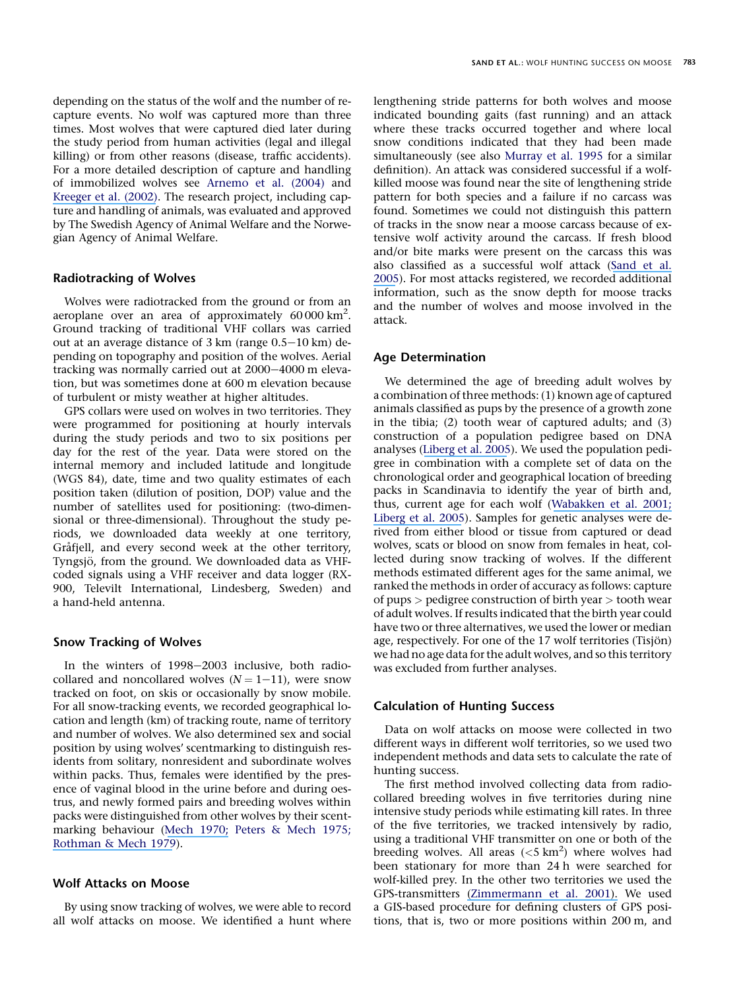depending on the status of the wolf and the number of recapture events. No wolf was captured more than three times. Most wolves that were captured died later during the study period from human activities (legal and illegal killing) or from other reasons (disease, traffic accidents). For a more detailed description of capture and handling of immobilized wolves see Arnemo et al. (2004) and [Kreeger et al. \(2002\)](https://www.researchgate.net/publication/278300532_Handbook_of_Wildlife_Chemical_Immobilization?el=1_x_8&enrichId=rgreq-3fc1200e-6a66-419e-9f4e-d477d3c162bc&enrichSource=Y292ZXJQYWdlOzIyMzg2Njc0NDtBUzoxMDI3MzE1NjYwMjY3NTVAMTQwMTUwNDUyMzQ3MA==). The research project, including capture and handling of animals, was evaluated and approved by The Swedish Agency of Animal Welfare and the Norwegian Agency of Animal Welfare.

## Radiotracking of Wolves

Wolves were radiotracked from the ground or from an aeroplane over an area of approximately  $60\,000\,\text{km}^2$ . Ground tracking of traditional VHF collars was carried out at an average distance of  $3 \text{ km}$  (range  $0.5-10 \text{ km}$ ) depending on topography and position of the wolves. Aerial tracking was normally carried out at 2000-4000 m elevation, but was sometimes done at 600 m elevation because of turbulent or misty weather at higher altitudes.

GPS collars were used on wolves in two territories. They were programmed for positioning at hourly intervals during the study periods and two to six positions per day for the rest of the year. Data were stored on the internal memory and included latitude and longitude (WGS 84), date, time and two quality estimates of each position taken (dilution of position, DOP) value and the number of satellites used for positioning: (two-dimensional or three-dimensional). Throughout the study periods, we downloaded data weekly at one territory, Gråfjell, and every second week at the other territory, Tyngsjö, from the ground. We downloaded data as VHFcoded signals using a VHF receiver and data logger (RX-900, Televilt International, Lindesberg, Sweden) and a hand-held antenna.

# Snow Tracking of Wolves

In the winters of 1998-2003 inclusive, both radiocollared and noncollared wolves  $(N = 1-11)$ , were snow tracked on foot, on skis or occasionally by snow mobile. For all snow-tracking events, we recorded geographical location and length (km) of tracking route, name of territory and number of wolves. We also determined sex and social position by using wolves' scentmarking to distinguish residents from solitary, nonresident and subordinate wolves within packs. Thus, females were identified by the presence of vaginal blood in the urine before and during oestrus, and newly formed pairs and breeding wolves within packs were distinguished from other wolves by their scentmarking behaviour ([Mech 1970;](https://www.researchgate.net/publication/37705429_The_Wolf_The_Ecology_and_Behavior_of_An_Endangered_Species?el=1_x_8&enrichId=rgreq-3fc1200e-6a66-419e-9f4e-d477d3c162bc&enrichSource=Y292ZXJQYWdlOzIyMzg2Njc0NDtBUzoxMDI3MzE1NjYwMjY3NTVAMTQwMTUwNDUyMzQ3MA==) Peters & Mech 1975; [Rothman & Mech 1979](https://www.researchgate.net/publication/222604254_Scent-marking_in_lone_wolves_and_newly_formed_pairs?el=1_x_8&enrichId=rgreq-3fc1200e-6a66-419e-9f4e-d477d3c162bc&enrichSource=Y292ZXJQYWdlOzIyMzg2Njc0NDtBUzoxMDI3MzE1NjYwMjY3NTVAMTQwMTUwNDUyMzQ3MA==)).

# Wolf Attacks on Moose

By using snow tracking of wolves, we were able to record all wolf attacks on moose. We identified a hunt where lengthening stride patterns for both wolves and moose indicated bounding gaits (fast running) and an attack where these tracks occurred together and where local snow conditions indicated that they had been made simultaneously (see also Murray et al. 1995 for a similar definition). An attack was considered successful if a wolfkilled moose was found near the site of lengthening stride pattern for both species and a failure if no carcass was found. Sometimes we could not distinguish this pattern of tracks in the snow near a moose carcass because of extensive wolf activity around the carcass. If fresh blood and/or bite marks were present on the carcass this was also classified as a successful wolf attack ([Sand et al.](https://www.researchgate.net/publication/261826256_Using_GPS_Technology_and_GIS_Cluster_Analyses_to_Estimate_Kill_Rates_in_Wolf-Ungulate_Ecosystems?el=1_x_8&enrichId=rgreq-3fc1200e-6a66-419e-9f4e-d477d3c162bc&enrichSource=Y292ZXJQYWdlOzIyMzg2Njc0NDtBUzoxMDI3MzE1NjYwMjY3NTVAMTQwMTUwNDUyMzQ3MA==) [2005](https://www.researchgate.net/publication/261826256_Using_GPS_Technology_and_GIS_Cluster_Analyses_to_Estimate_Kill_Rates_in_Wolf-Ungulate_Ecosystems?el=1_x_8&enrichId=rgreq-3fc1200e-6a66-419e-9f4e-d477d3c162bc&enrichSource=Y292ZXJQYWdlOzIyMzg2Njc0NDtBUzoxMDI3MzE1NjYwMjY3NTVAMTQwMTUwNDUyMzQ3MA==)). For most attacks registered, we recorded additional information, such as the snow depth for moose tracks and the number of wolves and moose involved in the attack.

## Age Determination

We determined the age of breeding adult wolves by a combination of three methods: (1) known age of captured animals classified as pups by the presence of a growth zone in the tibia; (2) tooth wear of captured adults; and (3) construction of a population pedigree based on DNA analyses ([Liberg et al. 2005](https://www.researchgate.net/publication/6651259_Severe_inbreeding_depression_in_a_wild_wolf_Canis_Iupus_population_Biol_Lett_117-20?el=1_x_8&enrichId=rgreq-3fc1200e-6a66-419e-9f4e-d477d3c162bc&enrichSource=Y292ZXJQYWdlOzIyMzg2Njc0NDtBUzoxMDI3MzE1NjYwMjY3NTVAMTQwMTUwNDUyMzQ3MA==)). We used the population pedigree in combination with a complete set of data on the chronological order and geographical location of breeding packs in Scandinavia to identify the year of birth and, thus, current age for each wolf ([Wabakken et al. 2001;](https://www.researchgate.net/publication/249542431_The_recovery_distribution_and_population_dynamics_of_wolves_on_the_Scandinavian_Peninsula?el=1_x_8&enrichId=rgreq-3fc1200e-6a66-419e-9f4e-d477d3c162bc&enrichSource=Y292ZXJQYWdlOzIyMzg2Njc0NDtBUzoxMDI3MzE1NjYwMjY3NTVAMTQwMTUwNDUyMzQ3MA==) [Liberg et al. 2005](https://www.researchgate.net/publication/6651259_Severe_inbreeding_depression_in_a_wild_wolf_Canis_Iupus_population_Biol_Lett_117-20?el=1_x_8&enrichId=rgreq-3fc1200e-6a66-419e-9f4e-d477d3c162bc&enrichSource=Y292ZXJQYWdlOzIyMzg2Njc0NDtBUzoxMDI3MzE1NjYwMjY3NTVAMTQwMTUwNDUyMzQ3MA==)). Samples for genetic analyses were derived from either blood or tissue from captured or dead wolves, scats or blood on snow from females in heat, collected during snow tracking of wolves. If the different methods estimated different ages for the same animal, we ranked the methods in order of accuracy as follows: capture of pups > pedigree construction of birth year > tooth wear of adult wolves. If results indicated that the birth year could have two or three alternatives, we used the lower or median age, respectively. For one of the 17 wolf territories (Tisjön) we had no age data for the adult wolves, and so this territory was excluded from further analyses.

#### Calculation of Hunting Success

Data on wolf attacks on moose were collected in two different ways in different wolf territories, so we used two independent methods and data sets to calculate the rate of hunting success.

The first method involved collecting data from radiocollared breeding wolves in five territories during nine intensive study periods while estimating kill rates. In three of the five territories, we tracked intensively by radio, using a traditional VHF transmitter on one or both of the breeding wolves. All areas  $(<5 \text{ km}^2)$  where wolves had been stationary for more than 24 h were searched for wolf-killed prey. In the other two territories we used the GPS-transmitters [\(Zimmermann et al. 2001\).](https://www.researchgate.net/publication/236889827_GPS_collars_with_remote_download_facilities_for_studying_the_economics_of_moose_hunting_and_moose-wolf_interactions?el=1_x_8&enrichId=rgreq-3fc1200e-6a66-419e-9f4e-d477d3c162bc&enrichSource=Y292ZXJQYWdlOzIyMzg2Njc0NDtBUzoxMDI3MzE1NjYwMjY3NTVAMTQwMTUwNDUyMzQ3MA==) We used a GIS-based procedure for defining clusters of GPS positions, that is, two or more positions within 200 m, and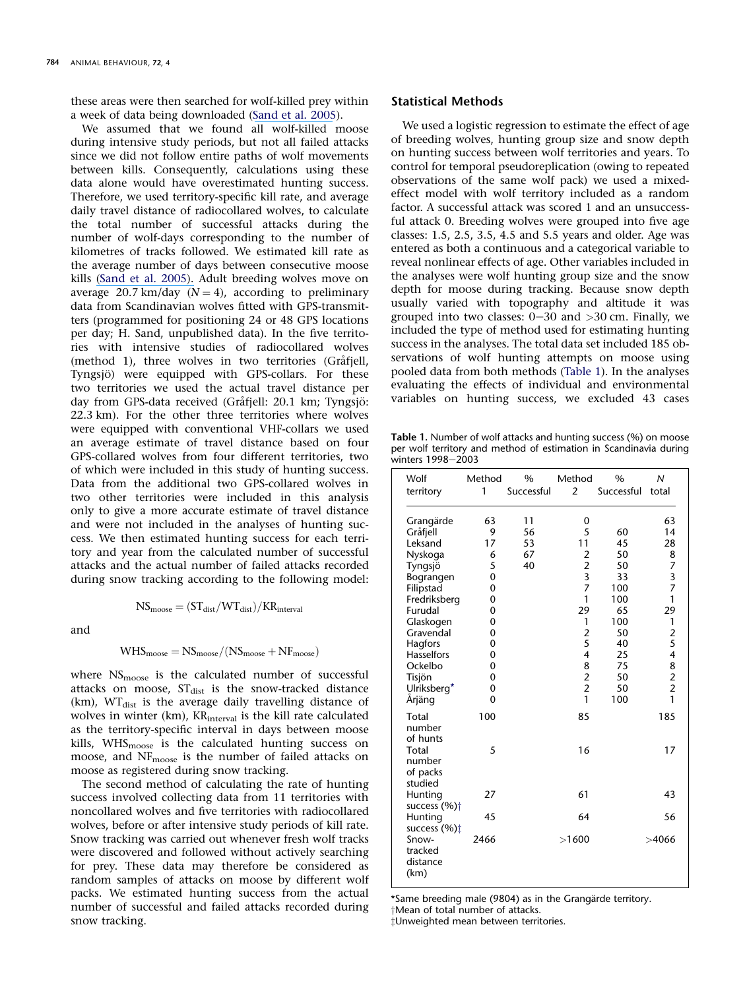these areas were then searched for wolf-killed prey within a week of data being downloaded ([Sand et al. 2005](https://www.researchgate.net/publication/261826256_Using_GPS_Technology_and_GIS_Cluster_Analyses_to_Estimate_Kill_Rates_in_Wolf-Ungulate_Ecosystems?el=1_x_8&enrichId=rgreq-3fc1200e-6a66-419e-9f4e-d477d3c162bc&enrichSource=Y292ZXJQYWdlOzIyMzg2Njc0NDtBUzoxMDI3MzE1NjYwMjY3NTVAMTQwMTUwNDUyMzQ3MA==)).

We assumed that we found all wolf-killed moose during intensive study periods, but not all failed attacks since we did not follow entire paths of wolf movements between kills. Consequently, calculations using these data alone would have overestimated hunting success. Therefore, we used territory-specific kill rate, and average daily travel distance of radiocollared wolves, to calculate the total number of successful attacks during the number of wolf-days corresponding to the number of kilometres of tracks followed. We estimated kill rate as the average number of days between consecutive moose kills [\(Sand et al. 2005\).](https://www.researchgate.net/publication/232690033_Using_GPS_technology_and_GIS_cluster_analyses_to_estimate_kill_rates_in_wolf-ungulate_ecosystems?el=1_x_8&enrichId=rgreq-3fc1200e-6a66-419e-9f4e-d477d3c162bc&enrichSource=Y292ZXJQYWdlOzIyMzg2Njc0NDtBUzoxMDI3MzE1NjYwMjY3NTVAMTQwMTUwNDUyMzQ3MA==) Adult breeding wolves move on average 20.7 km/day ( $N = 4$ ), according to preliminary data from Scandinavian wolves fitted with GPS-transmitters (programmed for positioning 24 or 48 GPS locations per day; H. Sand, unpublished data). In the five territories with intensive studies of radiocollared wolves (method 1), three wolves in two territories (Gråfjell, Tyngsjö) were equipped with GPS-collars. For these two territories we used the actual travel distance per day from GPS-data received (Gråfjell: 20.1 km; Tyngsjö: 22.3 km). For the other three territories where wolves were equipped with conventional VHF-collars we used an average estimate of travel distance based on four GPS-collared wolves from four different territories, two of which were included in this study of hunting success. Data from the additional two GPS-collared wolves in two other territories were included in this analysis only to give a more accurate estimate of travel distance and were not included in the analyses of hunting success. We then estimated hunting success for each territory and year from the calculated number of successful attacks and the actual number of failed attacks recorded during snow tracking according to the following model:

and

$$
\rm WHS_{\rm{moose}}= NS_{\rm{moose}}/(NS_{\rm{moose}}+NF_{\rm{moose}})
$$

 $NS_{\text{moose}}=(ST_{\text{dist}}/WT_{\text{dist}})/KR_{\text{interval}}$ 

where  $NS<sub>moose</sub>$  is the calculated number of successful attacks on moose,  $ST_{dist}$  is the snow-tracked distance (km),  $WT<sub>dist</sub>$  is the average daily travelling distance of wolves in winter (km), KR<sub>interval</sub> is the kill rate calculated as the territory-specific interval in days between moose kills, WHS $_{\text{moose}}$  is the calculated hunting success on moose, and  $NF_{\text{moose}}$  is the number of failed attacks on moose as registered during snow tracking.

The second method of calculating the rate of hunting success involved collecting data from 11 territories with noncollared wolves and five territories with radiocollared wolves, before or after intensive study periods of kill rate. Snow tracking was carried out whenever fresh wolf tracks were discovered and followed without actively searching for prey. These data may therefore be considered as random samples of attacks on moose by different wolf packs. We estimated hunting success from the actual number of successful and failed attacks recorded during snow tracking.

## Statistical Methods

We used a logistic regression to estimate the effect of age of breeding wolves, hunting group size and snow depth on hunting success between wolf territories and years. To control for temporal pseudoreplication (owing to repeated observations of the same wolf pack) we used a mixedeffect model with wolf territory included as a random factor. A successful attack was scored 1 and an unsuccessful attack 0. Breeding wolves were grouped into five age classes: 1.5, 2.5, 3.5, 4.5 and 5.5 years and older. Age was entered as both a continuous and a categorical variable to reveal nonlinear effects of age. Other variables included in the analyses were wolf hunting group size and the snow depth for moose during tracking. Because snow depth usually varied with topography and altitude it was grouped into two classes:  $0-30$  and  $>30$  cm. Finally, we included the type of method used for estimating hunting success in the analyses. The total data set included 185 observations of wolf hunting attempts on moose using pooled data from both methods (Table 1). In the analyses evaluating the effects of individual and environmental variables on hunting success, we excluded 43 cases

Table 1. Number of wolf attacks and hunting success (%) on moose per wolf territory and method of estimation in Scandinavia during winters  $1998 - 2003$ 

| Wolf                                                       | Method | $\%$       | Method         | $\%$       | N              |
|------------------------------------------------------------|--------|------------|----------------|------------|----------------|
| territory                                                  | 1      | Successful | $\overline{2}$ | Successful | total          |
| Grangärde                                                  | 63     | 11         | 0              |            | 63             |
| Gråfjell                                                   | 9      | 56         | 5              | 60         | 14             |
| Leksand                                                    | 17     | 53         | 11             | 45         | 28             |
| Nyskoga                                                    | 6      | 67         | 2              | 50         | 8              |
| Tyngsjö                                                    | 5      | 40         | $\frac{2}{3}$  | 50         | 7              |
| Bograngen                                                  | 0      |            |                | 33         | 3              |
| Filipstad                                                  | 0      |            | $\overline{7}$ | 100        | $\overline{7}$ |
| Fredriksberg                                               | 0      |            | 1              | 100        | 1              |
| Furudal                                                    | 0      |            | 29             | 65         | 29             |
| Glaskogen                                                  | 0      |            | 1              | 100        | $\mathbf{1}$   |
| Gravendal                                                  | 0      |            | $\overline{2}$ | 50         | $\frac{2}{5}$  |
| Hagfors                                                    | 0      |            | 5              | 40         |                |
| <b>Hasselfors</b>                                          | 0      |            | 4              | 25         | 4              |
| Ockelbo                                                    | 0      |            | 8              | 75         | 8              |
| Tisjön                                                     | 0      |            | $\overline{c}$ | 50         | $\frac{2}{2}$  |
| Ulriksberg*                                                | 0      |            | $\overline{2}$ | 50         |                |
| Arjäng                                                     | 0      |            | 1              | 100        | $\mathbf{1}$   |
| Total<br>number<br>of hunts                                | 100    |            | 85             |            | 185            |
| Total<br>number<br>of packs<br>studied                     | 5      |            | 16             |            | 17             |
| Hunting<br>success $(\%)\dagger$                           | 27     |            | 61             |            | 43             |
| Hunting<br>success $(\%)$ <sup><math>\ddagger</math></sup> | 45     |            | 64             |            | 56             |
| Snow-<br>tracked<br>distance<br>(km)                       | 2466   |            | >1600          |            | >4066          |

\*Same breeding male (9804) as in the Grangärde territory. tMean of total number of attacks.

zUnweighted mean between territories.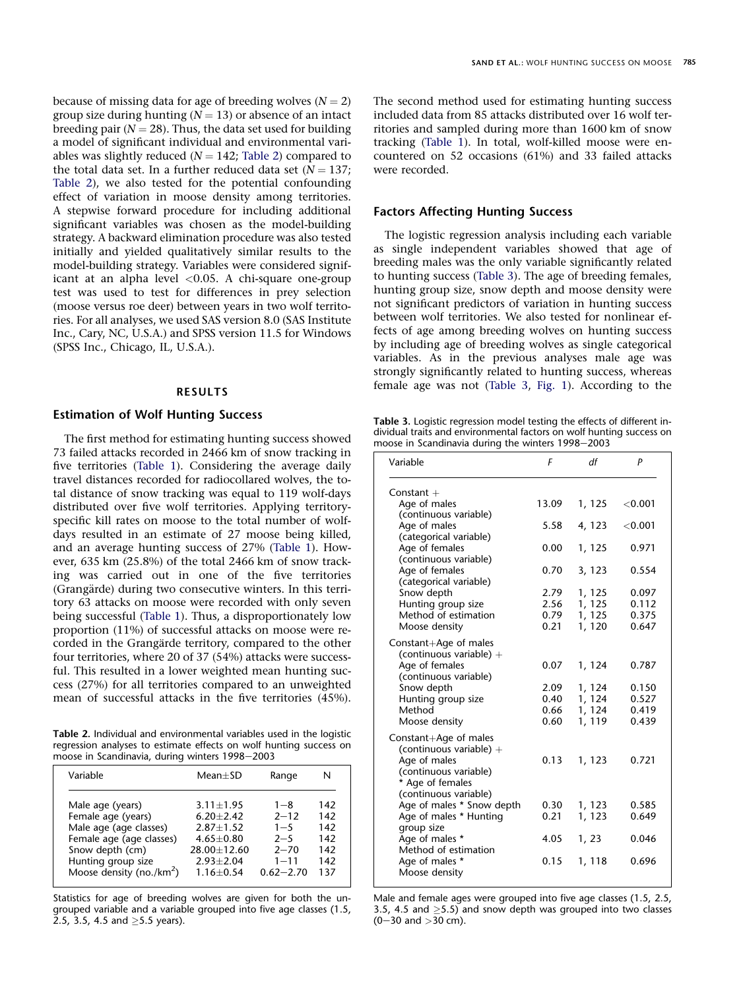because of missing data for age of breeding wolves  $(N = 2)$ group size during hunting  $(N = 13)$  or absence of an intact breeding pair ( $N = 28$ ). Thus, the data set used for building a model of significant individual and environmental variables was slightly reduced ( $N = 142$ ; Table 2) compared to the total data set. In a further reduced data set  $(N = 137)$ ; Table 2), we also tested for the potential confounding effect of variation in moose density among territories. A stepwise forward procedure for including additional significant variables was chosen as the model-building strategy. A backward elimination procedure was also tested initially and yielded qualitatively similar results to the model-building strategy. Variables were considered significant at an alpha level <0.05. A chi-square one-group test was used to test for differences in prey selection (moose versus roe deer) between years in two wolf territories. For all analyses, we used SAS version 8.0 (SAS Institute Inc., Cary, NC, U.S.A.) and SPSS version 11.5 for Windows (SPSS Inc., Chicago, IL, U.S.A.).

## RESULTS

# Estimation of Wolf Hunting Success

The first method for estimating hunting success showed 73 failed attacks recorded in 2466 km of snow tracking in five territories (Table 1). Considering the average daily travel distances recorded for radiocollared wolves, the total distance of snow tracking was equal to 119 wolf-days distributed over five wolf territories. Applying territoryspecific kill rates on moose to the total number of wolfdays resulted in an estimate of 27 moose being killed, and an average hunting success of 27% (Table 1). However, 635 km (25.8%) of the total 2466 km of snow tracking was carried out in one of the five territories (Grangärde) during two consecutive winters. In this territory 63 attacks on moose were recorded with only seven being successful (Table 1). Thus, a disproportionately low proportion (11%) of successful attacks on moose were recorded in the Grangärde territory, compared to the other four territories, where 20 of 37 (54%) attacks were successful. This resulted in a lower weighted mean hunting success (27%) for all territories compared to an unweighted mean of successful attacks in the five territories (45%).

Table 2. Individual and environmental variables used in the logistic regression analyses to estimate effects on wolf hunting success on moose in Scandinavia, during winters 1998-2003

| Variable                     | $Mean+SD$     | Range         | N   |
|------------------------------|---------------|---------------|-----|
| Male age (years)             | $3.11 + 1.95$ | $1 - 8$       | 142 |
| Female age (years)           | $6.20 + 2.42$ | $2 - 12$      | 142 |
| Male age (age classes)       | $2.87 + 1.52$ | $1 - 5$       | 142 |
| Female age (age classes)     | $4.65 + 0.80$ | $2 - 5$       | 142 |
| Snow depth (cm)              | 28.00±12.60   | $2 - 70$      | 142 |
| Hunting group size           | $2.93 + 2.04$ | $1 - 11$      | 142 |
| Moose density (no./ $km^2$ ) | $1.16 + 0.54$ | $0.62 - 2.70$ | 137 |

Statistics for age of breeding wolves are given for both the ungrouped variable and a variable grouped into five age classes (1.5, 2.5, 3.5, 4.5 and  $\geq$ 5.5 years).

The second method used for estimating hunting success included data from 85 attacks distributed over 16 wolf territories and sampled during more than 1600 km of snow tracking (Table 1). In total, wolf-killed moose were encountered on 52 occasions (61%) and 33 failed attacks were recorded.

# Factors Affecting Hunting Success

The logistic regression analysis including each variable as single independent variables showed that age of breeding males was the only variable significantly related to hunting success (Table 3). The age of breeding females, hunting group size, snow depth and moose density were not significant predictors of variation in hunting success between wolf territories. We also tested for nonlinear effects of age among breeding wolves on hunting success by including age of breeding wolves as single categorical variables. As in the previous analyses male age was strongly significantly related to hunting success, whereas female age was not (Table 3, Fig. 1). According to the

Table 3. Logistic regression model testing the effects of different individual traits and environmental factors on wolf hunting success on moose in Scandinavia during the winters 1998-2003

| Variable                                                                                                                                                                                        | F                                    | df                                             | P                                         |
|-------------------------------------------------------------------------------------------------------------------------------------------------------------------------------------------------|--------------------------------------|------------------------------------------------|-------------------------------------------|
| $Constant +$                                                                                                                                                                                    |                                      |                                                |                                           |
| Age of males                                                                                                                                                                                    | 13.09                                | 1, 125                                         | < 0.001                                   |
| (continuous variable)                                                                                                                                                                           |                                      |                                                |                                           |
| Age of males                                                                                                                                                                                    | 5.58                                 | 4, 123                                         | < 0.001                                   |
| (categorical variable)                                                                                                                                                                          |                                      |                                                |                                           |
| Age of females<br>(continuous variable)                                                                                                                                                         | 0.00                                 | 1, 125                                         | 0.971                                     |
| Age of females                                                                                                                                                                                  | 0.70                                 | 3, 123                                         | 0.554                                     |
| (categorical variable)                                                                                                                                                                          |                                      |                                                |                                           |
| Snow depth                                                                                                                                                                                      | 2.79                                 | 1, 125                                         | 0.097                                     |
| Hunting group size                                                                                                                                                                              | 2.56                                 | 1, 125                                         | 0.112                                     |
| Method of estimation                                                                                                                                                                            | 0.79                                 | 1, 125                                         | 0.375                                     |
| Moose density                                                                                                                                                                                   | 0.21                                 | 1, 120                                         | 0.647                                     |
| Constant+Age of males<br>(continuous variable) +<br>Age of females<br>(continuous variable)<br>Snow depth<br>Hunting group size<br>Method<br>Moose density                                      | 0.07<br>2.09<br>0.40<br>0.66<br>0.60 | 1, 124<br>1, 124<br>1, 124<br>1, 124<br>1, 119 | 0.787<br>0.150<br>0.527<br>0.419<br>0.439 |
| Constant+Age of males<br>(continuous variable) $+$<br>Age of males<br>(continuous variable)<br>* Age of females<br>(continuous variable)<br>Age of males * Snow depth<br>Age of males * Hunting | 0.13<br>0.30<br>0.21                 | 1, 123<br>1, 123<br>1, 123                     | 0.721<br>0.585<br>0.649                   |
| group size<br>Age of males *                                                                                                                                                                    | 4.05                                 |                                                | 0.046                                     |
| Method of estimation                                                                                                                                                                            |                                      | 1, 23                                          |                                           |
| Age of males *<br>Moose density                                                                                                                                                                 | 0.15                                 | 1, 118                                         | 0.696                                     |

Male and female ages were grouped into five age classes (1.5, 2.5, 3.5, 4.5 and  $\geq$ 5.5) and snow depth was grouped into two classes  $(0-30$  and  $>30$  cm).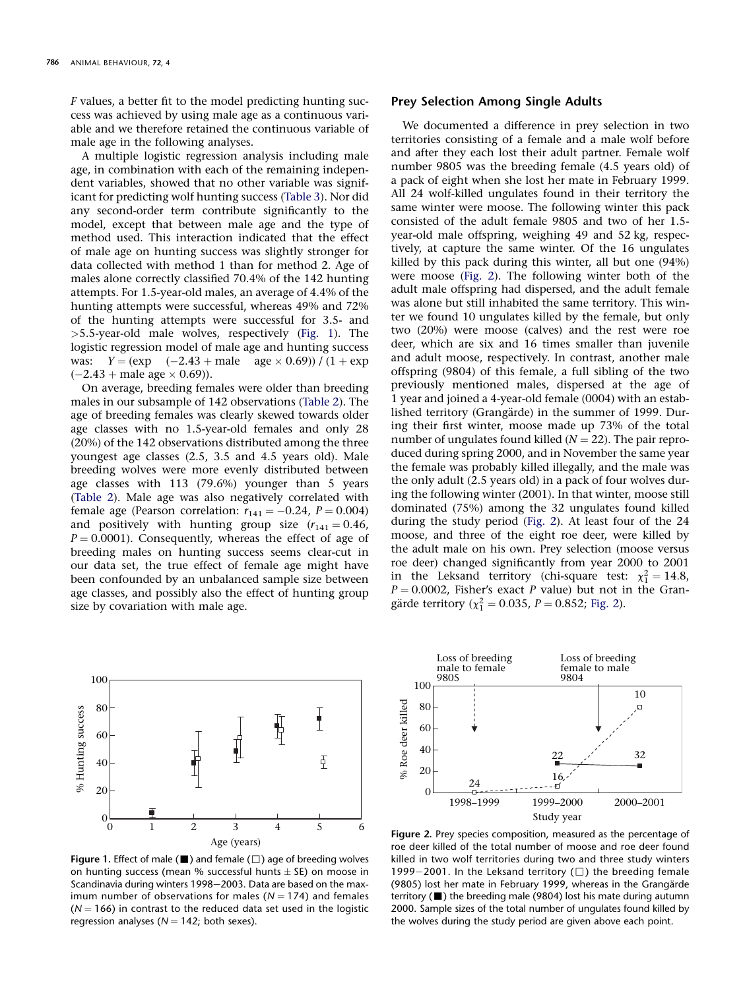F values, a better fit to the model predicting hunting success was achieved by using male age as a continuous variable and we therefore retained the continuous variable of male age in the following analyses.

A multiple logistic regression analysis including male age, in combination with each of the remaining independent variables, showed that no other variable was significant for predicting wolf hunting success (Table 3). Nor did any second-order term contribute significantly to the model, except that between male age and the type of method used. This interaction indicated that the effect of male age on hunting success was slightly stronger for data collected with method 1 than for method 2. Age of males alone correctly classified 70.4% of the 142 hunting attempts. For 1.5-year-old males, an average of 4.4% of the hunting attempts were successful, whereas 49% and 72% of the hunting attempts were successful for 3.5- and >5.5-year-old male wolves, respectively (Fig. 1). The logistic regression model of male age and hunting success was:  $Y = (exp \left(-2.43 + male \right) \text{ age} \times 0.69) / (1 + exp \left(-2.43 + male \right) \text{ age} \times 0.69)$  $(-2.43 + \text{male age} \times 0.69)$ ).

On average, breeding females were older than breeding males in our subsample of 142 observations (Table 2). The age of breeding females was clearly skewed towards older age classes with no 1.5-year-old females and only 28 (20%) of the 142 observations distributed among the three youngest age classes (2.5, 3.5 and 4.5 years old). Male breeding wolves were more evenly distributed between age classes with 113 (79.6%) younger than 5 years (Table 2). Male age was also negatively correlated with female age (Pearson correlation:  $r_{141} = -0.24$ ,  $P = 0.004$ ) and positively with hunting group size  $(r_{141} = 0.46)$ ,  $P = 0.0001$ ). Consequently, whereas the effect of age of breeding males on hunting success seems clear-cut in our data set, the true effect of female age might have been confounded by an unbalanced sample size between age classes, and possibly also the effect of hunting group size by covariation with male age.

## Prey Selection Among Single Adults

We documented a difference in prey selection in two territories consisting of a female and a male wolf before and after they each lost their adult partner. Female wolf number 9805 was the breeding female (4.5 years old) of a pack of eight when she lost her mate in February 1999. All 24 wolf-killed ungulates found in their territory the same winter were moose. The following winter this pack consisted of the adult female 9805 and two of her 1.5 year-old male offspring, weighing 49 and 52 kg, respectively, at capture the same winter. Of the 16 ungulates killed by this pack during this winter, all but one (94%) were moose (Fig. 2). The following winter both of the adult male offspring had dispersed, and the adult female was alone but still inhabited the same territory. This winter we found 10 ungulates killed by the female, but only two (20%) were moose (calves) and the rest were roe deer, which are six and 16 times smaller than juvenile and adult moose, respectively. In contrast, another male offspring (9804) of this female, a full sibling of the two previously mentioned males, dispersed at the age of 1 year and joined a 4-year-old female (0004) with an established territory (Grangärde) in the summer of 1999. During their first winter, moose made up 73% of the total number of ungulates found killed ( $N = 22$ ). The pair reproduced during spring 2000, and in November the same year the female was probably killed illegally, and the male was the only adult (2.5 years old) in a pack of four wolves during the following winter (2001). In that winter, moose still dominated (75%) among the 32 ungulates found killed during the study period (Fig. 2). At least four of the 24 moose, and three of the eight roe deer, were killed by the adult male on his own. Prey selection (moose versus roe deer) changed significantly from year 2000 to 2001 in the Leksand territory (chi-square test:  $\chi_1^2 = 14.8$ ,  $P = 0.0002$ , Fisher's exact P value) but not in the Grangärde territory ( $\chi_1^2 = 0.035$ ,  $P = 0.852$ ; Fig. 2).



**Figure 1.** Effect of male ( $\blacksquare$ ) and female ( $\Box$ ) age of breeding wolves on hunting success (mean  $%$  successful hunts  $\pm$  SE) on moose in Scandinavia during winters 1998-2003. Data are based on the maximum number of observations for males ( $N = 174$ ) and females  $(N = 166)$  in contrast to the reduced data set used in the logistic regression analyses ( $N = 142$ ; both sexes).



Figure 2. Prey species composition, measured as the percentage of roe deer killed of the total number of moose and roe deer found killed in two wolf territories during two and three study winters 1999-2001. In the Leksand territory ( $\square$ ) the breeding female (9805) lost her mate in February 1999, whereas in the Grangärde territory  $(\blacksquare)$  the breeding male (9804) lost his mate during autumn 2000. Sample sizes of the total number of ungulates found killed by the wolves during the study period are given above each point.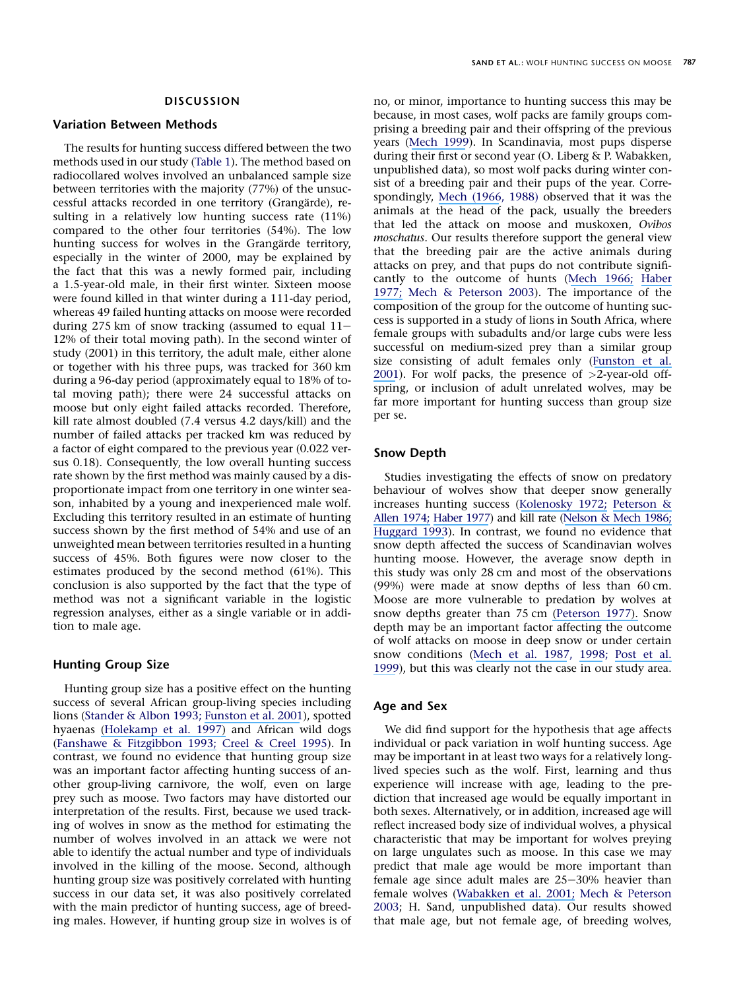#### **DISCUSSION**

## Variation Between Methods

The results for hunting success differed between the two methods used in our study (Table 1). The method based on radiocollared wolves involved an unbalanced sample size between territories with the majority (77%) of the unsuccessful attacks recorded in one territory (Grangarde), resulting in a relatively low hunting success rate (11%) compared to the other four territories (54%). The low hunting success for wolves in the Grangärde territory, especially in the winter of 2000, may be explained by the fact that this was a newly formed pair, including a 1.5-year-old male, in their first winter. Sixteen moose were found killed in that winter during a 111-day period, whereas 49 failed hunting attacks on moose were recorded during 275 km of snow tracking (assumed to equal  $11-$ 12% of their total moving path). In the second winter of study (2001) in this territory, the adult male, either alone or together with his three pups, was tracked for 360 km during a 96-day period (approximately equal to 18% of total moving path); there were 24 successful attacks on moose but only eight failed attacks recorded. Therefore, kill rate almost doubled (7.4 versus 4.2 days/kill) and the number of failed attacks per tracked km was reduced by a factor of eight compared to the previous year (0.022 versus 0.18). Consequently, the low overall hunting success rate shown by the first method was mainly caused by a disproportionate impact from one territory in one winter season, inhabited by a young and inexperienced male wolf. Excluding this territory resulted in an estimate of hunting success shown by the first method of 54% and use of an unweighted mean between territories resulted in a hunting success of 45%. Both figures were now closer to the estimates produced by the second method (61%). This conclusion is also supported by the fact that the type of method was not a significant variable in the logistic regression analyses, either as a single variable or in addition to male age.

# Hunting Group Size

Hunting group size has a positive effect on the hunting success of several African group-living species including lions (Stander & Albon 1993; [Funston et al. 2001](https://www.researchgate.net/publication/264652206_Funston_P_J_M_G_L_Mills_and_H_C_Biggs_Factors_affecting_the_hunting_success_of_male_and_female_lions_in_the_Kruger_National_Park_Journal_of_Zoology?el=1_x_8&enrichId=rgreq-3fc1200e-6a66-419e-9f4e-d477d3c162bc&enrichSource=Y292ZXJQYWdlOzIyMzg2Njc0NDtBUzoxMDI3MzE1NjYwMjY3NTVAMTQwMTUwNDUyMzQ3MA==)), spotted hyaenas [\(Holekamp et al. 1997\)](https://www.researchgate.net/publication/229646636_Hunting_rates_and_hunting_success_in_the_spotted_hyena_Crocuta_crocuta_J_Zool_Lond?el=1_x_8&enrichId=rgreq-3fc1200e-6a66-419e-9f4e-d477d3c162bc&enrichSource=Y292ZXJQYWdlOzIyMzg2Njc0NDtBUzoxMDI3MzE1NjYwMjY3NTVAMTQwMTUwNDUyMzQ3MA==) and African wild dogs ([Fanshawe & Fitzgibbon 1993;](https://www.researchgate.net/publication/256655254_Factors_influencing_hunting_success_of_an_African_wild_dog_pack?el=1_x_8&enrichId=rgreq-3fc1200e-6a66-419e-9f4e-d477d3c162bc&enrichSource=Y292ZXJQYWdlOzIyMzg2Njc0NDtBUzoxMDI3MzE1NjYwMjY3NTVAMTQwMTUwNDUyMzQ3MA==) [Creel & Creel 1995](https://www.researchgate.net/publication/222503523_Communal_hunting_and_pack_size_in_African_wild_dogs_Lycaon_pictus_Anim_Behav?el=1_x_8&enrichId=rgreq-3fc1200e-6a66-419e-9f4e-d477d3c162bc&enrichSource=Y292ZXJQYWdlOzIyMzg2Njc0NDtBUzoxMDI3MzE1NjYwMjY3NTVAMTQwMTUwNDUyMzQ3MA==)). In contrast, we found no evidence that hunting group size was an important factor affecting hunting success of another group-living carnivore, the wolf, even on large prey such as moose. Two factors may have distorted our interpretation of the results. First, because we used tracking of wolves in snow as the method for estimating the number of wolves involved in an attack we were not able to identify the actual number and type of individuals involved in the killing of the moose. Second, although hunting group size was positively correlated with hunting success in our data set, it was also positively correlated with the main predictor of hunting success, age of breeding males. However, if hunting group size in wolves is of no, or minor, importance to hunting success this may be because, in most cases, wolf packs are family groups comprising a breeding pair and their offspring of the previous years ([Mech 1999](https://www.researchgate.net/publication/229192855_Alpha_status_dominance_and_division_of_labor_in_wolf_packs?el=1_x_8&enrichId=rgreq-3fc1200e-6a66-419e-9f4e-d477d3c162bc&enrichSource=Y292ZXJQYWdlOzIyMzg2Njc0NDtBUzoxMDI3MzE1NjYwMjY3NTVAMTQwMTUwNDUyMzQ3MA==)). In Scandinavia, most pups disperse during their first or second year (O. Liberg & P. Wabakken, unpublished data), so most wolf packs during winter consist of a breeding pair and their pups of the year. Correspondingly, [Mech \(1966](https://www.researchgate.net/publication/270362817_The_Wolves_of_Isle_Royale?el=1_x_8&enrichId=rgreq-3fc1200e-6a66-419e-9f4e-d477d3c162bc&enrichSource=Y292ZXJQYWdlOzIyMzg2Njc0NDtBUzoxMDI3MzE1NjYwMjY3NTVAMTQwMTUwNDUyMzQ3MA==), 1988) observed that it was the animals at the head of the pack, usually the breeders that led the attack on moose and muskoxen, Ovibos moschatus. Our results therefore support the general view that the breeding pair are the active animals during attacks on prey, and that pups do not contribute significantly to the outcome of hunts ([Mech 1966;](https://www.researchgate.net/publication/270362817_The_Wolves_of_Isle_Royale?el=1_x_8&enrichId=rgreq-3fc1200e-6a66-419e-9f4e-d477d3c162bc&enrichSource=Y292ZXJQYWdlOzIyMzg2Njc0NDtBUzoxMDI3MzE1NjYwMjY3NTVAMTQwMTUwNDUyMzQ3MA==) [Haber](https://www.researchgate.net/publication/35102140_Socio-Ecological_Dynamics_of_Wolves_and_Prey_in_a_Subartic_Ecosystem?el=1_x_8&enrichId=rgreq-3fc1200e-6a66-419e-9f4e-d477d3c162bc&enrichSource=Y292ZXJQYWdlOzIyMzg2Njc0NDtBUzoxMDI3MzE1NjYwMjY3NTVAMTQwMTUwNDUyMzQ3MA==) [1977;](https://www.researchgate.net/publication/35102140_Socio-Ecological_Dynamics_of_Wolves_and_Prey_in_a_Subartic_Ecosystem?el=1_x_8&enrichId=rgreq-3fc1200e-6a66-419e-9f4e-d477d3c162bc&enrichSource=Y292ZXJQYWdlOzIyMzg2Njc0NDtBUzoxMDI3MzE1NjYwMjY3NTVAMTQwMTUwNDUyMzQ3MA==) Mech & Peterson 2003). The importance of the composition of the group for the outcome of hunting success is supported in a study of lions in South Africa, where female groups with subadults and/or large cubs were less successful on medium-sized prey than a similar group size consisting of adult females only ([Funston et al.](https://www.researchgate.net/publication/264652206_Funston_P_J_M_G_L_Mills_and_H_C_Biggs_Factors_affecting_the_hunting_success_of_male_and_female_lions_in_the_Kruger_National_Park_Journal_of_Zoology?el=1_x_8&enrichId=rgreq-3fc1200e-6a66-419e-9f4e-d477d3c162bc&enrichSource=Y292ZXJQYWdlOzIyMzg2Njc0NDtBUzoxMDI3MzE1NjYwMjY3NTVAMTQwMTUwNDUyMzQ3MA==) [2001](https://www.researchgate.net/publication/264652206_Funston_P_J_M_G_L_Mills_and_H_C_Biggs_Factors_affecting_the_hunting_success_of_male_and_female_lions_in_the_Kruger_National_Park_Journal_of_Zoology?el=1_x_8&enrichId=rgreq-3fc1200e-6a66-419e-9f4e-d477d3c162bc&enrichSource=Y292ZXJQYWdlOzIyMzg2Njc0NDtBUzoxMDI3MzE1NjYwMjY3NTVAMTQwMTUwNDUyMzQ3MA==)). For wolf packs, the presence of  $>2$ -year-old offspring, or inclusion of adult unrelated wolves, may be far more important for hunting success than group size per se.

## Snow Depth

Studies investigating the effects of snow on predatory behaviour of wolves show that deeper snow generally increases hunting success ([Kolenosky 1972;](https://www.researchgate.net/publication/271565726_Wolf_Predation_on_Wintering_Deer_in_East-Central_Ontario?el=1_x_8&enrichId=rgreq-3fc1200e-6a66-419e-9f4e-d477d3c162bc&enrichSource=Y292ZXJQYWdlOzIyMzg2Njc0NDtBUzoxMDI3MzE1NjYwMjY3NTVAMTQwMTUwNDUyMzQ3MA==) [Peterson &](https://www.researchgate.net/publication/291941071_Snow_conditions_as_a_parameter_in_moose-wolf_relationships?el=1_x_8&enrichId=rgreq-3fc1200e-6a66-419e-9f4e-d477d3c162bc&enrichSource=Y292ZXJQYWdlOzIyMzg2Njc0NDtBUzoxMDI3MzE1NjYwMjY3NTVAMTQwMTUwNDUyMzQ3MA==) [Allen 1974;](https://www.researchgate.net/publication/291941071_Snow_conditions_as_a_parameter_in_moose-wolf_relationships?el=1_x_8&enrichId=rgreq-3fc1200e-6a66-419e-9f4e-d477d3c162bc&enrichSource=Y292ZXJQYWdlOzIyMzg2Njc0NDtBUzoxMDI3MzE1NjYwMjY3NTVAMTQwMTUwNDUyMzQ3MA==) [Haber 1977](https://www.researchgate.net/publication/35102140_Socio-Ecological_Dynamics_of_Wolves_and_Prey_in_a_Subartic_Ecosystem?el=1_x_8&enrichId=rgreq-3fc1200e-6a66-419e-9f4e-d477d3c162bc&enrichSource=Y292ZXJQYWdlOzIyMzg2Njc0NDtBUzoxMDI3MzE1NjYwMjY3NTVAMTQwMTUwNDUyMzQ3MA==)) and kill rate ([Nelson & Mech 1986;](https://www.researchgate.net/publication/229196249_Relationship_between_Snow_Depth_and_Gray_Wolf_Predation_on_White-Tailed_Deer?el=1_x_8&enrichId=rgreq-3fc1200e-6a66-419e-9f4e-d477d3c162bc&enrichSource=Y292ZXJQYWdlOzIyMzg2Njc0NDtBUzoxMDI3MzE1NjYwMjY3NTVAMTQwMTUwNDUyMzQ3MA==) [Huggard 1993](https://www.researchgate.net/publication/229194926_Effect_of_Snow_Depth_on_Predation_and_Scavenging_by_Gray_Wolves?el=1_x_8&enrichId=rgreq-3fc1200e-6a66-419e-9f4e-d477d3c162bc&enrichSource=Y292ZXJQYWdlOzIyMzg2Njc0NDtBUzoxMDI3MzE1NjYwMjY3NTVAMTQwMTUwNDUyMzQ3MA==)). In contrast, we found no evidence that snow depth affected the success of Scandinavian wolves hunting moose. However, the average snow depth in this study was only 28 cm and most of the observations (99%) were made at snow depths of less than 60 cm. Moose are more vulnerable to predation by wolves at snow depths greater than 75 cm [\(Peterson 1977\).](https://www.researchgate.net/publication/254637993_Wolf_Ecology_and_Prey_Relationships_on_Isle_Royale_National_Park_Service?el=1_x_8&enrichId=rgreq-3fc1200e-6a66-419e-9f4e-d477d3c162bc&enrichSource=Y292ZXJQYWdlOzIyMzg2Njc0NDtBUzoxMDI3MzE1NjYwMjY3NTVAMTQwMTUwNDUyMzQ3MA==) Snow depth may be an important factor affecting the outcome of wolf attacks on moose in deep snow or under certain snow conditions ([Mech et al. 1987](https://www.researchgate.net/publication/273360795_Relationship_of_Deer_and_Moose_Populations_to_Previous_Winters), [1998](https://www.researchgate.net/publication/242648625_The_Wolves_of_Denali?el=1_x_8&enrichId=rgreq-3fc1200e-6a66-419e-9f4e-d477d3c162bc&enrichSource=Y292ZXJQYWdlOzIyMzg2Njc0NDtBUzoxMDI3MzE1NjYwMjY3NTVAMTQwMTUwNDUyMzQ3MA==); [Post et al.](https://www.researchgate.net/publication/239743624_1999_Ecosystem_consequences_of_wolf_behavioural_response_to_climate?el=1_x_8&enrichId=rgreq-3fc1200e-6a66-419e-9f4e-d477d3c162bc&enrichSource=Y292ZXJQYWdlOzIyMzg2Njc0NDtBUzoxMDI3MzE1NjYwMjY3NTVAMTQwMTUwNDUyMzQ3MA==) [1999](https://www.researchgate.net/publication/239743624_1999_Ecosystem_consequences_of_wolf_behavioural_response_to_climate?el=1_x_8&enrichId=rgreq-3fc1200e-6a66-419e-9f4e-d477d3c162bc&enrichSource=Y292ZXJQYWdlOzIyMzg2Njc0NDtBUzoxMDI3MzE1NjYwMjY3NTVAMTQwMTUwNDUyMzQ3MA==)), but this was clearly not the case in our study area.

# Age and Sex

We did find support for the hypothesis that age affects individual or pack variation in wolf hunting success. Age may be important in at least two ways for a relatively longlived species such as the wolf. First, learning and thus experience will increase with age, leading to the prediction that increased age would be equally important in both sexes. Alternatively, or in addition, increased age will reflect increased body size of individual wolves, a physical characteristic that may be important for wolves preying on large ungulates such as moose. In this case we may predict that male age would be more important than female age since adult males are  $25-30%$  heavier than female wolves ([Wabakken et al. 2001;](https://www.researchgate.net/publication/249542431_The_recovery_distribution_and_population_dynamics_of_wolves_on_the_Scandinavian_Peninsula?el=1_x_8&enrichId=rgreq-3fc1200e-6a66-419e-9f4e-d477d3c162bc&enrichSource=Y292ZXJQYWdlOzIyMzg2Njc0NDtBUzoxMDI3MzE1NjYwMjY3NTVAMTQwMTUwNDUyMzQ3MA==) Mech & Peterson 2003; H. Sand, unpublished data). Our results showed that male age, but not female age, of breeding wolves,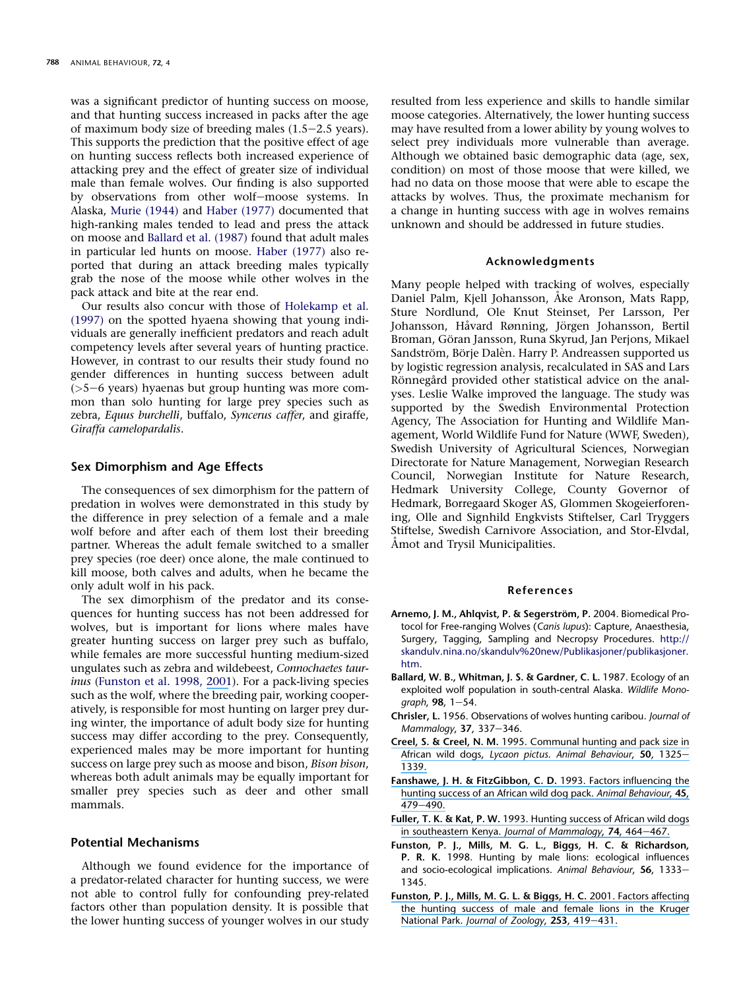was a significant predictor of hunting success on moose, and that hunting success increased in packs after the age of maximum body size of breeding males  $(1.5–2.5 \text{ years})$ . This supports the prediction that the positive effect of age on hunting success reflects both increased experience of attacking prey and the effect of greater size of individual male than female wolves. Our finding is also supported by observations from other wolf-moose systems. In Alaska, Murie (1944) and Haber (1977) documented that high-ranking males tended to lead and press the attack on moose and Ballard et al. (1987) found that adult males in particular led hunts on moose. Haber (1977) also reported that during an attack breeding males typically grab the nose of the moose while other wolves in the pack attack and bite at the rear end.

Our results also concur with those of Holekamp et al. (1997) on the spotted hyaena showing that young individuals are generally inefficient predators and reach adult competency levels after several years of hunting practice. However, in contrast to our results their study found no gender differences in hunting success between adult  $(>=5-6$  years) hyaenas but group hunting was more common than solo hunting for large prey species such as zebra, Equus burchelli, buffalo, Syncerus caffer, and giraffe, Giraffa camelopardalis.

## Sex Dimorphism and Age Effects

The consequences of sex dimorphism for the pattern of predation in wolves were demonstrated in this study by the difference in prey selection of a female and a male wolf before and after each of them lost their breeding partner. Whereas the adult female switched to a smaller prey species (roe deer) once alone, the male continued to kill moose, both calves and adults, when he became the only adult wolf in his pack.

The sex dimorphism of the predator and its consequences for hunting success has not been addressed for wolves, but is important for lions where males have greater hunting success on larger prey such as buffalo, while females are more successful hunting medium-sized ungulates such as zebra and wildebeest, Connochaetes taurinus (Funston et al. 1998, [2001](https://www.researchgate.net/publication/264652206_Funston_P_J_M_G_L_Mills_and_H_C_Biggs_Factors_affecting_the_hunting_success_of_male_and_female_lions_in_the_Kruger_National_Park_Journal_of_Zoology?el=1_x_8&enrichId=rgreq-3fc1200e-6a66-419e-9f4e-d477d3c162bc&enrichSource=Y292ZXJQYWdlOzIyMzg2Njc0NDtBUzoxMDI3MzE1NjYwMjY3NTVAMTQwMTUwNDUyMzQ3MA==)). For a pack-living species such as the wolf, where the breeding pair, working cooperatively, is responsible for most hunting on larger prey during winter, the importance of adult body size for hunting success may differ according to the prey. Consequently, experienced males may be more important for hunting success on large prey such as moose and bison, Bison bison, whereas both adult animals may be equally important for smaller prey species such as deer and other small mammals.

# Potential Mechanisms

Although we found evidence for the importance of a predator-related character for hunting success, we were not able to control fully for confounding prey-related factors other than population density. It is possible that the lower hunting success of younger wolves in our study

resulted from less experience and skills to handle similar moose categories. Alternatively, the lower hunting success may have resulted from a lower ability by young wolves to select prey individuals more vulnerable than average. Although we obtained basic demographic data (age, sex, condition) on most of those moose that were killed, we had no data on those moose that were able to escape the attacks by wolves. Thus, the proximate mechanism for a change in hunting success with age in wolves remains unknown and should be addressed in future studies.

## Acknowledgments

Many people helped with tracking of wolves, especially Daniel Palm, Kjell Johansson, Åke Aronson, Mats Rapp, Sture Nordlund, Ole Knut Steinset, Per Larsson, Per Johansson, Håvard Rønning, Jörgen Johansson, Bertil Broman, Göran Jansson, Runa Skyrud, Jan Perions, Mikael Sandström, Börje Dalèn. Harry P. Andreassen supported us by logistic regression analysis, recalculated in SAS and Lars Rönnegård provided other statistical advice on the analyses. Leslie Walke improved the language. The study was supported by the Swedish Environmental Protection Agency, The Association for Hunting and Wildlife Management, World Wildlife Fund for Nature (WWF, Sweden), Swedish University of Agricultural Sciences, Norwegian Directorate for Nature Management, Norwegian Research Council, Norwegian Institute for Nature Research, Hedmark University College, County Governor of Hedmark, Borregaard Skoger AS, Glommen Skogeierforening, Olle and Signhild Engkvists Stiftelser, Carl Tryggers Stiftelse, Swedish Carnivore Association, and Stor-Elvdal, Å mot and Trysil Municipalities.

# References

- Arnemo, J. M., Ahlqvist, P. & Segerström, P. 2004. Biomedical Protocol for Free-ranging Wolves (*Canis lupus*): Capture, Anaesthesia, Surgery, Tagging, Sampling and Necropsy Procedures. [http://](http://skandulv.nina.no/skandulv%20new/Publikasjoner/publikasjoner.htm) [skandulv.nina.no/skandulv%20new/Publikasjoner/publikasjoner.](http://skandulv.nina.no/skandulv%20new/Publikasjoner/publikasjoner.htm) [htm](http://skandulv.nina.no/skandulv%20new/Publikasjoner/publikasjoner.htm).
- Ballard, W. B., Whitman, J. S. & Gardner, C. L. 1987. Ecology of an exploited wolf population in south-central Alaska. *Wildlife Monograph*, 98, 1-54.
- Chrisler, L. 1956. Observations of wolves hunting caribou. *Journal of Mammalogy*, 37, 337-346.
- Creel, S. & Creel, N. M. [1995. Communal hunting and pack size in](https://www.researchgate.net/publication/222503523_Communal_hunting_and_pack_size_in_African_wild_dogs_Lycaon_pictus_Anim_Behav?el=1_x_8&enrichId=rgreq-3fc1200e-6a66-419e-9f4e-d477d3c162bc&enrichSource=Y292ZXJQYWdlOzIyMzg2Njc0NDtBUzoxMDI3MzE1NjYwMjY3NTVAMTQwMTUwNDUyMzQ3MA==) [African wild dogs,](https://www.researchgate.net/publication/222503523_Communal_hunting_and_pack_size_in_African_wild_dogs_Lycaon_pictus_Anim_Behav?el=1_x_8&enrichId=rgreq-3fc1200e-6a66-419e-9f4e-d477d3c162bc&enrichSource=Y292ZXJQYWdlOzIyMzg2Njc0NDtBUzoxMDI3MzE1NjYwMjY3NTVAMTQwMTUwNDUyMzQ3MA==) *Lycaon pictus*. Animal Behaviour, 50, 1325-[1339.](https://www.researchgate.net/publication/222503523_Communal_hunting_and_pack_size_in_African_wild_dogs_Lycaon_pictus_Anim_Behav?el=1_x_8&enrichId=rgreq-3fc1200e-6a66-419e-9f4e-d477d3c162bc&enrichSource=Y292ZXJQYWdlOzIyMzg2Njc0NDtBUzoxMDI3MzE1NjYwMjY3NTVAMTQwMTUwNDUyMzQ3MA==)
- [Fanshawe, J. H. & FitzGibbon, C. D.](https://www.researchgate.net/publication/256655254_Factors_influencing_hunting_success_of_an_African_wild_dog_pack?el=1_x_8&enrichId=rgreq-3fc1200e-6a66-419e-9f4e-d477d3c162bc&enrichSource=Y292ZXJQYWdlOzIyMzg2Njc0NDtBUzoxMDI3MzE1NjYwMjY3NTVAMTQwMTUwNDUyMzQ3MA==) 1993. Factors influencing the [hunting success of an African wild dog pack.](https://www.researchgate.net/publication/256655254_Factors_influencing_hunting_success_of_an_African_wild_dog_pack?el=1_x_8&enrichId=rgreq-3fc1200e-6a66-419e-9f4e-d477d3c162bc&enrichSource=Y292ZXJQYWdlOzIyMzg2Njc0NDtBUzoxMDI3MzE1NjYwMjY3NTVAMTQwMTUwNDUyMzQ3MA==) *Animal Behaviour*, 45,  $479 - 490$ .
- Fuller, T. K. & Kat, P. W. [1993. Hunting success of African wild dogs](https://www.researchgate.net/publication/273287426_Hunting_Success_of_African_Wild_Dogs_in_Southwestern_Kenya?el=1_x_8&enrichId=rgreq-3fc1200e-6a66-419e-9f4e-d477d3c162bc&enrichSource=Y292ZXJQYWdlOzIyMzg2Njc0NDtBUzoxMDI3MzE1NjYwMjY3NTVAMTQwMTUwNDUyMzQ3MA==) [in southeastern Kenya.](https://www.researchgate.net/publication/273287426_Hunting_Success_of_African_Wild_Dogs_in_Southwestern_Kenya?el=1_x_8&enrichId=rgreq-3fc1200e-6a66-419e-9f4e-d477d3c162bc&enrichSource=Y292ZXJQYWdlOzIyMzg2Njc0NDtBUzoxMDI3MzE1NjYwMjY3NTVAMTQwMTUwNDUyMzQ3MA==) *Journal of Mammalogy*, 74, 464-467.
- Funston, P. J., Mills, M. G. L., Biggs, H. C. & Richardson, P. R. K. 1998. Hunting by male lions: ecological influences and socio-ecological implications. Animal Behaviour, 56, 1333-1345.
- [Funston, P. J., Mills, M. G. L. & Biggs, H. C.](https://www.researchgate.net/publication/264652206_Funston_P_J_M_G_L_Mills_and_H_C_Biggs_Factors_affecting_the_hunting_success_of_male_and_female_lions_in_the_Kruger_National_Park_Journal_of_Zoology?el=1_x_8&enrichId=rgreq-3fc1200e-6a66-419e-9f4e-d477d3c162bc&enrichSource=Y292ZXJQYWdlOzIyMzg2Njc0NDtBUzoxMDI3MzE1NjYwMjY3NTVAMTQwMTUwNDUyMzQ3MA==) 2001. Factors affecting [the hunting success of male and female lions in the Kruger](https://www.researchgate.net/publication/264652206_Funston_P_J_M_G_L_Mills_and_H_C_Biggs_Factors_affecting_the_hunting_success_of_male_and_female_lions_in_the_Kruger_National_Park_Journal_of_Zoology?el=1_x_8&enrichId=rgreq-3fc1200e-6a66-419e-9f4e-d477d3c162bc&enrichSource=Y292ZXJQYWdlOzIyMzg2Njc0NDtBUzoxMDI3MzE1NjYwMjY3NTVAMTQwMTUwNDUyMzQ3MA==) National Park. *[Journal of Zoology](https://www.researchgate.net/publication/264652206_Funston_P_J_M_G_L_Mills_and_H_C_Biggs_Factors_affecting_the_hunting_success_of_male_and_female_lions_in_the_Kruger_National_Park_Journal_of_Zoology?el=1_x_8&enrichId=rgreq-3fc1200e-6a66-419e-9f4e-d477d3c162bc&enrichSource=Y292ZXJQYWdlOzIyMzg2Njc0NDtBUzoxMDI3MzE1NjYwMjY3NTVAMTQwMTUwNDUyMzQ3MA==)*, 253, 419-431.